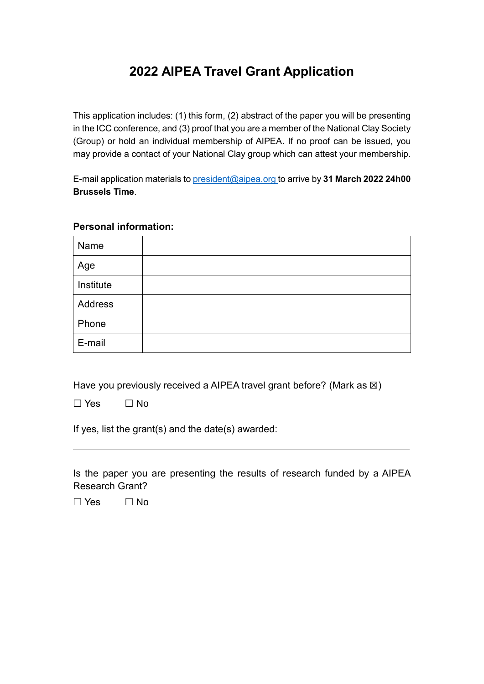## **2022 AIPEA Travel Grant Application**

This application includes: (1) this form, (2) abstract of the paper you will be presenting in the ICC conference, and (3) proof that you are a member of the National Clay Society (Group) or hold an individual membership of AIPEA. If no proof can be issued, you may provide a contact of your National Clay group which can attest your membership.

E-mail application materials to [president@aipea.org](mailto:president@aipea.org) to arrive by **31 March 2022 24h00 Brussels Time**.

## **Personal information:**

| Name      |  |
|-----------|--|
| Age       |  |
| Institute |  |
| Address   |  |
| Phone     |  |
| E-mail    |  |

Have you previously received a AIPEA travel grant before? (Mark as  $\boxtimes$ )

 $\Box$  Yes  $\Box$  No

 $\overline{a}$ 

If yes, list the grant(s) and the date(s) awarded:

Is the paper you are presenting the results of research funded by a AIPEA Research Grant?

 $\Box$  Yes  $\Box$  No